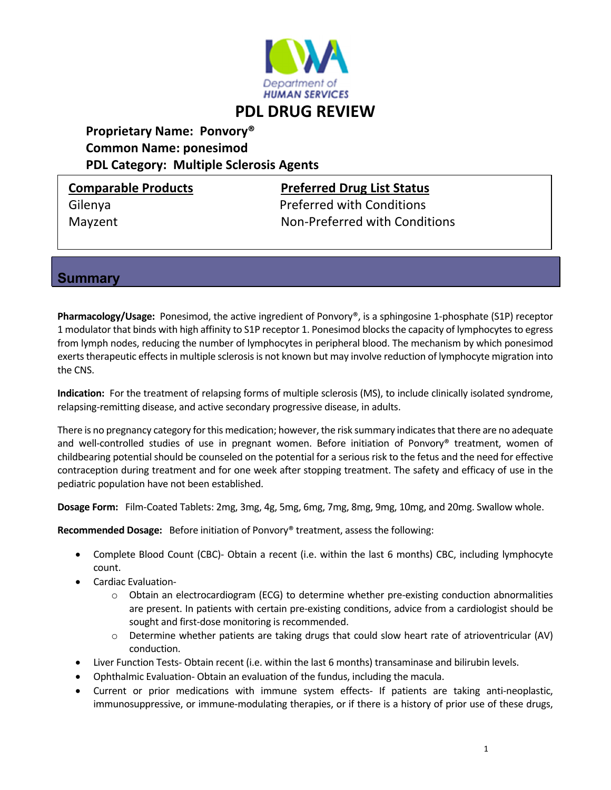

# **PDL DRUG REVIEW**

# **Proprietary Name: Ponvory® Common Name: ponesimod PDL Category: Multiple Sclerosis Agents**

# **Comparable Products Preferred Drug List Status**

Gilenya Preferred with Conditions Mayzent Non‐Preferred with Conditions

### **Summary**

**Pharmacology/Usage:** Ponesimod, the active ingredient of Ponvory®, is a sphingosine 1-phosphate (S1P) receptor 1 modulator that binds with high affinity to S1P receptor 1. Ponesimod blocks the capacity of lymphocytes to egress from lymph nodes, reducing the number of lymphocytes in peripheral blood. The mechanism by which ponesimod exerts therapeutic effects in multiple sclerosis is not known but may involve reduction of lymphocyte migration into the CNS.

**Indication:** For the treatment of relapsing forms of multiple sclerosis (MS), to include clinically isolated syndrome, relapsing‐remitting disease, and active secondary progressive disease, in adults.

There is no pregnancy category for this medication; however, the risk summary indicates that there are no adequate and well-controlled studies of use in pregnant women. Before initiation of Ponvory® treatment, women of childbearing potential should be counseled on the potential for a serious risk to the fetus and the need for effective contraception during treatment and for one week after stopping treatment. The safety and efficacy of use in the pediatric population have not been established.

**Dosage Form:** Film‐Coated Tablets: 2mg, 3mg, 4g, 5mg, 6mg, 7mg, 8mg, 9mg, 10mg, and 20mg. Swallow whole.

**Recommended Dosage:** Before initiation of Ponvory® treatment, assess the following:

- Complete Blood Count (CBC)- Obtain a recent (i.e. within the last 6 months) CBC, including lymphocyte count.
- Cardiac Evaluation‐
	- $\circ$  Obtain an electrocardiogram (ECG) to determine whether pre-existing conduction abnormalities are present. In patients with certain pre-existing conditions, advice from a cardiologist should be sought and first-dose monitoring is recommended.
	- o Determine whether patients are taking drugs that could slow heart rate of atrioventricular (AV) conduction.
- Liver Function Tests‐ Obtain recent (i.e. within the last 6 months) transaminase and bilirubin levels.
- Ophthalmic Evaluation-Obtain an evaluation of the fundus, including the macula.
- Current or prior medications with immune system effects‐ If patients are taking anti‐neoplastic, immunosuppressive, or immune-modulating therapies, or if there is a history of prior use of these drugs,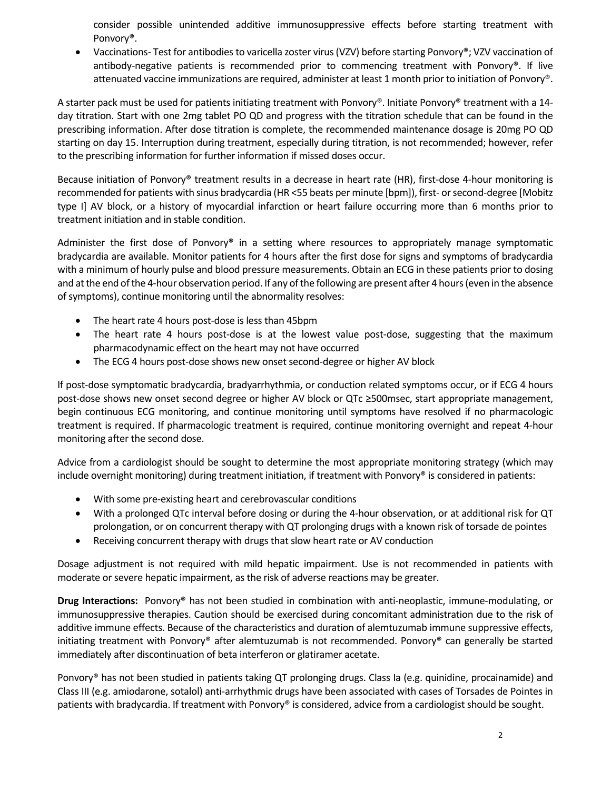consider possible unintended additive immunosuppressive effects before starting treatment with Ponvory®.

• Vaccinations- Test for antibodies to varicella zoster virus (VZV) before starting Ponvory®; VZV vaccination of antibody-negative patients is recommended prior to commencing treatment with Ponvory®. If live attenuated vaccine immunizations are required, administer at least 1 month prior to initiation of Ponvory®.

A starter pack must be used for patients initiating treatment with Ponvory®. Initiate Ponvory® treatment with a 14‐ day titration. Start with one 2mg tablet PO QD and progress with the titration schedule that can be found in the prescribing information. After dose titration is complete, the recommended maintenance dosage is 20mg PO QD starting on day 15. Interruption during treatment, especially during titration, is not recommended; however, refer to the prescribing information for further information if missed doses occur.

Because initiation of Ponvory® treatment results in a decrease in heart rate (HR), first-dose 4-hour monitoring is recommended for patients with sinus bradycardia (HR <55 beats per minute [bpm]), first- or second-degree [Mobitz type I] AV block, or a history of myocardial infarction or heart failure occurring more than 6 months prior to treatment initiation and in stable condition.

Administer the first dose of Ponvory® in a setting where resources to appropriately manage symptomatic bradycardia are available. Monitor patients for 4 hours after the first dose for signs and symptoms of bradycardia with a minimum of hourly pulse and blood pressure measurements. Obtain an ECG in these patients prior to dosing and at the end of the 4-hour observation period. If any of the following are present after 4 hours (even in the absence of symptoms), continue monitoring until the abnormality resolves:

- The heart rate 4 hours post-dose is less than 45 bpm
- The heart rate 4 hours post-dose is at the lowest value post-dose, suggesting that the maximum pharmacodynamic effect on the heart may not have occurred
- The ECG 4 hours post-dose shows new onset second-degree or higher AV block

If post‐dose symptomatic bradycardia, bradyarrhythmia, or conduction related symptoms occur, or if ECG 4 hours post-dose shows new onset second degree or higher AV block or QTc ≥500msec, start appropriate management, begin continuous ECG monitoring, and continue monitoring until symptoms have resolved if no pharmacologic treatment is required. If pharmacologic treatment is required, continue monitoring overnight and repeat 4‐hour monitoring after the second dose.

Advice from a cardiologist should be sought to determine the most appropriate monitoring strategy (which may include overnight monitoring) during treatment initiation, if treatment with Ponvory® is considered in patients:

- With some pre-existing heart and cerebrovascular conditions
- With a prolonged QTc interval before dosing or during the 4‐hour observation, or at additional risk for QT prolongation, or on concurrent therapy with QT prolonging drugs with a known risk of torsade de pointes
- Receiving concurrent therapy with drugs that slow heart rate or AV conduction

Dosage adjustment is not required with mild hepatic impairment. Use is not recommended in patients with moderate or severe hepatic impairment, as the risk of adverse reactions may be greater.

**Drug Interactions:** Ponvory® has not been studied in combination with anti‐neoplastic, immune‐modulating, or immunosuppressive therapies. Caution should be exercised during concomitant administration due to the risk of additive immune effects. Because of the characteristics and duration of alemtuzumab immune suppressive effects, initiating treatment with Ponvory® after alemtuzumab is not recommended. Ponvory® can generally be started immediately after discontinuation of beta interferon or glatiramer acetate.

Ponvory® has not been studied in patients taking QT prolonging drugs. Class Ia (e.g. quinidine, procainamide) and Class III (e.g. amiodarone, sotalol) anti‐arrhythmic drugs have been associated with cases of Torsades de Pointes in patients with bradycardia. If treatment with Ponvory® is considered, advice from a cardiologist should be sought.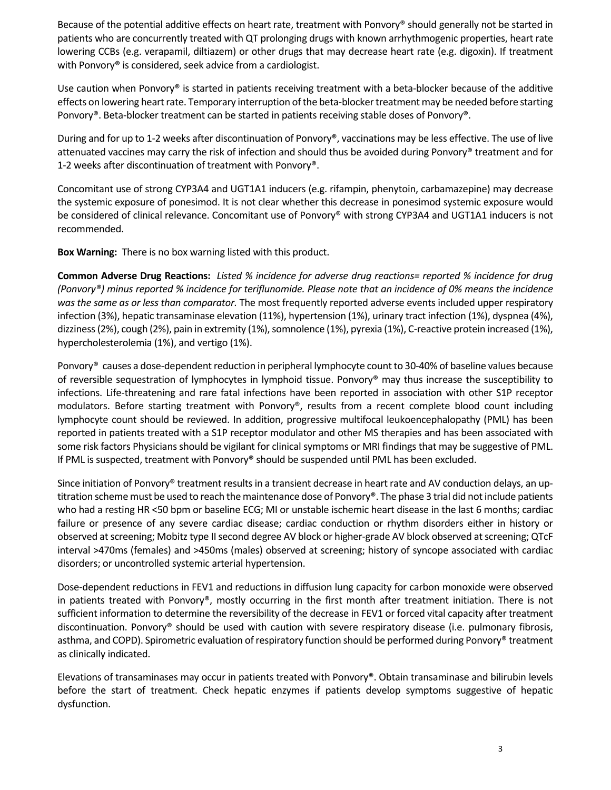Because of the potential additive effects on heart rate, treatment with Ponvory® should generally not be started in patients who are concurrently treated with QT prolonging drugs with known arrhythmogenic properties, heart rate lowering CCBs (e.g. verapamil, diltiazem) or other drugs that may decrease heart rate (e.g. digoxin). If treatment with Ponvory<sup>®</sup> is considered, seek advice from a cardiologist.

Use caution when Ponvory<sup>®</sup> is started in patients receiving treatment with a beta-blocker because of the additive effects on lowering heart rate. Temporary interruption of the beta-blocker treatment may be needed before starting Ponvory®. Beta‐blocker treatment can be started in patients receiving stable doses of Ponvory®.

During and for up to 1‐2 weeks after discontinuation of Ponvory®, vaccinations may be less effective. The use of live attenuated vaccines may carry the risk of infection and should thus be avoided during Ponvory® treatment and for 1‐2 weeks after discontinuation of treatment with Ponvory®.

Concomitant use of strong CYP3A4 and UGT1A1 inducers (e.g. rifampin, phenytoin, carbamazepine) may decrease the systemic exposure of ponesimod. It is not clear whether this decrease in ponesimod systemic exposure would be considered of clinical relevance. Concomitant use of Ponvory® with strong CYP3A4 and UGT1A1 inducers is not recommended.

**Box Warning:** There is no box warning listed with this product.

Common Adverse Drug Reactions: Listed % incidence for adverse drug reactions= reported % incidence for drug (Ponvory®) minus reported % incidence for teriflunomide. Please note that an incidence of 0% means the incidence *was the same as or less than comparator.* The most frequently reported adverse events included upper respiratory infection (3%), hepatic transaminase elevation (11%), hypertension (1%), urinary tract infection (1%), dyspnea (4%), dizziness (2%), cough (2%), pain in extremity (1%), somnolence (1%), pyrexia (1%), C-reactive protein increased (1%), hypercholesterolemia (1%), and vertigo (1%).

Ponvory<sup>®</sup> causes a dose-dependent reduction in peripheral lymphocyte count to 30-40% of baseline values because of reversible sequestration of lymphocytes in lymphoid tissue. Ponvory® may thus increase the susceptibility to infections. Life-threatening and rare fatal infections have been reported in association with other S1P receptor modulators. Before starting treatment with Ponvory®, results from a recent complete blood count including lymphocyte count should be reviewed. In addition, progressive multifocal leukoencephalopathy (PML) has been reported in patients treated with a S1P receptor modulator and other MS therapies and has been associated with some risk factors Physicians should be vigilant for clinical symptoms or MRI findings that may be suggestive of PML. If PML is suspected, treatment with Ponvory® should be suspended until PML has been excluded.

Since initiation of Ponvory® treatment results in a transient decrease in heart rate and AV conduction delays, an uptitration scheme must be used to reach the maintenance dose of Ponvory®. The phase 3 trial did not include patients who had a resting HR ˂50 bpm or baseline ECG; MI or unstable ischemic heart disease in the last 6 months; cardiac failure or presence of any severe cardiac disease; cardiac conduction or rhythm disorders either in history or observed at screening; Mobitz type II second degree AV block or higher-grade AV block observed at screening; QTcF interval >470ms (females) and >450ms (males) observed at screening; history of syncope associated with cardiac disorders; or uncontrolled systemic arterial hypertension.

Dose-dependent reductions in FEV1 and reductions in diffusion lung capacity for carbon monoxide were observed in patients treated with Ponvory®, mostly occurring in the first month after treatment initiation. There is not sufficient information to determine the reversibility of the decrease in FEV1 or forced vital capacity after treatment discontinuation. Ponvory® should be used with caution with severe respiratory disease (i.e. pulmonary fibrosis, asthma, and COPD). Spirometric evaluation of respiratory function should be performed during Ponvory® treatment as clinically indicated.

Elevations of transaminases may occur in patients treated with Ponvory®. Obtain transaminase and bilirubin levels before the start of treatment. Check hepatic enzymes if patients develop symptoms suggestive of hepatic dysfunction.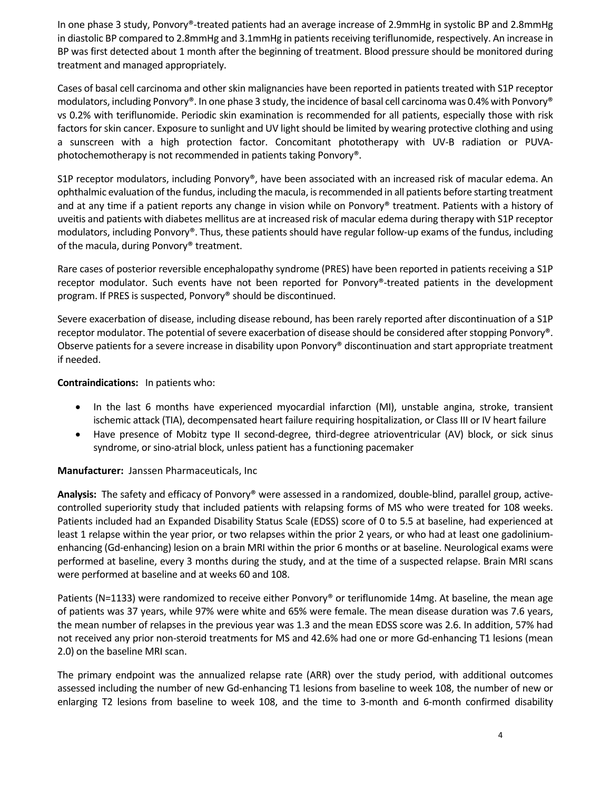In one phase 3 study, Ponvory®‐treated patients had an average increase of 2.9mmHg in systolic BP and 2.8mmHg in diastolic BP compared to 2.8mmHg and 3.1mmHg in patients receiving teriflunomide, respectively. An increase in BP was first detected about 1 month after the beginning of treatment. Blood pressure should be monitored during treatment and managed appropriately.

Cases of basal cell carcinoma and other skin malignancies have been reported in patients treated with S1P receptor modulators, including Ponvory®. In one phase 3 study, the incidence of basal cell carcinoma was 0.4% with Ponvory® vs 0.2% with teriflunomide. Periodic skin examination is recommended for all patients, especially those with risk factors for skin cancer. Exposure to sunlight and UV light should be limited by wearing protective clothing and using a sunscreen with a high protection factor. Concomitant phototherapy with UV‐B radiation or PUVA‐ photochemotherapy is not recommended in patients taking Ponvory®.

S1P receptor modulators, including Ponvory®, have been associated with an increased risk of macular edema. An ophthalmic evaluation ofthe fundus, including the macula, isrecommended in all patients before starting treatment and at any time if a patient reports any change in vision while on Ponvory® treatment. Patients with a history of uveitis and patients with diabetes mellitus are at increased risk of macular edema during therapy with S1P receptor modulators, including Ponvory®. Thus, these patients should have regular follow‐up exams of the fundus, including of the macula, during Ponvory® treatment.

Rare cases of posterior reversible encephalopathy syndrome (PRES) have been reported in patients receiving a S1P receptor modulator. Such events have not been reported for Ponvory®-treated patients in the development program. If PRES is suspected, Ponvory® should be discontinued.

Severe exacerbation of disease, including disease rebound, has been rarely reported after discontinuation of a S1P receptor modulator. The potential of severe exacerbation of disease should be considered after stopping Ponvory®. Observe patients for a severe increase in disability upon Ponvory® discontinuation and start appropriate treatment if needed.

**Contraindications:** In patients who:

- In the last 6 months have experienced myocardial infarction (MI), unstable angina, stroke, transient ischemic attack (TIA), decompensated heart failure requiring hospitalization, or Class III or IV heart failure
- Have presence of Mobitz type II second-degree, third-degree atrioventricular (AV) block, or sick sinus syndrome, or sino‐atrial block, unless patient has a functioning pacemaker

**Manufacturer:** Janssen Pharmaceuticals, Inc

Analysis: The safety and efficacy of Ponvory<sup>®</sup> were assessed in a randomized, double-blind, parallel group, activecontrolled superiority study that included patients with relapsing forms of MS who were treated for 108 weeks. Patients included had an Expanded Disability Status Scale (EDSS) score of 0 to 5.5 at baseline, had experienced at least 1 relapse within the year prior, or two relapses within the prior 2 years, or who had at least one gadoliniumenhancing (Gd-enhancing) lesion on a brain MRI within the prior 6 months or at baseline. Neurological exams were performed at baseline, every 3 months during the study, and at the time of a suspected relapse. Brain MRI scans were performed at baseline and at weeks 60 and 108.

Patients (N=1133) were randomized to receive either Ponvory® or teriflunomide 14mg. At baseline, the mean age of patients was 37 years, while 97% were white and 65% were female. The mean disease duration was 7.6 years, the mean number of relapses in the previous year was 1.3 and the mean EDSS score was 2.6. In addition, 57% had not received any prior non-steroid treatments for MS and 42.6% had one or more Gd-enhancing T1 lesions (mean 2.0) on the baseline MRI scan.

The primary endpoint was the annualized relapse rate (ARR) over the study period, with additional outcomes assessed including the number of new Gd‐enhancing T1 lesions from baseline to week 108, the number of new or enlarging T2 lesions from baseline to week 108, and the time to 3-month and 6-month confirmed disability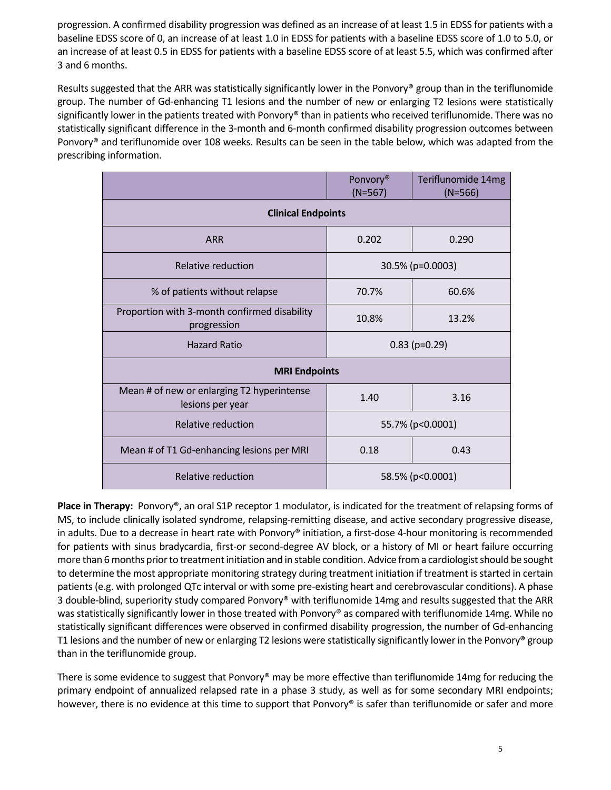progression. A confirmed disability progression was defined as an increase of at least 1.5 in EDSS for patients with a baseline EDSS score of 0, an increase of at least 1.0 in EDSS for patients with a baseline EDSS score of 1.0 to 5.0, or an increase of at least 0.5 in EDSS for patients with a baseline EDSS score of at least 5.5, which was confirmed after 3 and 6 months.

Results suggested that the ARR was statistically significantly lower in the Ponvory<sup>®</sup> group than in the teriflunomide group. The number of Gd-enhancing T1 lesions and the number of new or enlarging T2 lesions were statistically significantly lower in the patients treated with Ponvory® than in patients who received teriflunomide. There was no statistically significant difference in the 3‐month and 6‐month confirmed disability progression outcomes between Ponvory® and teriflunomide over 108 weeks. Results can be seen in the table below, which was adapted from the prescribing information.

|                                                                | Ponvory <sup>®</sup><br>$(N=567)$ | Teriflunomide 14mg<br>$(N=566)$ |
|----------------------------------------------------------------|-----------------------------------|---------------------------------|
| <b>Clinical Endpoints</b>                                      |                                   |                                 |
| <b>ARR</b>                                                     | 0.202                             | 0.290                           |
| Relative reduction                                             | 30.5% (p=0.0003)                  |                                 |
| % of patients without relapse                                  | 70.7%                             | 60.6%                           |
| Proportion with 3-month confirmed disability<br>progression    | 10.8%                             | 13.2%                           |
| <b>Hazard Ratio</b>                                            | $0.83$ (p=0.29)                   |                                 |
| <b>MRI Endpoints</b>                                           |                                   |                                 |
| Mean # of new or enlarging T2 hyperintense<br>lesions per year | 1.40                              | 3.16                            |
| Relative reduction                                             | 55.7% (p<0.0001)                  |                                 |
| Mean # of T1 Gd-enhancing lesions per MRI                      | 0.18                              | 0.43                            |
| Relative reduction                                             | 58.5% (p<0.0001)                  |                                 |

**Place in Therapy:** Ponvory®, an oral S1P receptor 1 modulator, is indicated for the treatment of relapsing forms of MS, to include clinically isolated syndrome, relapsing‐remitting disease, and active secondary progressive disease, in adults. Due to a decrease in heart rate with Ponvory® initiation, a first-dose 4-hour monitoring is recommended for patients with sinus bradycardia, first-or second-degree AV block, or a history of MI or heart failure occurring more than 6 months prior to treatment initiation and in stable condition. Advice from a cardiologist should be sought to determine the most appropriate monitoring strategy during treatment initiation if treatment is started in certain patients (e.g. with prolonged QTc interval or with some pre‐existing heart and cerebrovascular conditions). A phase 3 double-blind, superiority study compared Ponvory® with teriflunomide 14mg and results suggested that the ARR was statistically significantly lower in those treated with Ponvory® as compared with teriflunomide 14mg. While no statistically significant differences were observed in confirmed disability progression, the number of Gd-enhancing T1 lesions and the number of new or enlarging T2 lesions were statistically significantly lower in the Ponvory® group than in the teriflunomide group.

There is some evidence to suggest that Ponvory® may be more effective than teriflunomide 14mg for reducing the primary endpoint of annualized relapsed rate in a phase 3 study, as well as for some secondary MRI endpoints; however, there is no evidence at this time to support that Ponvory® is safer than teriflunomide or safer and more